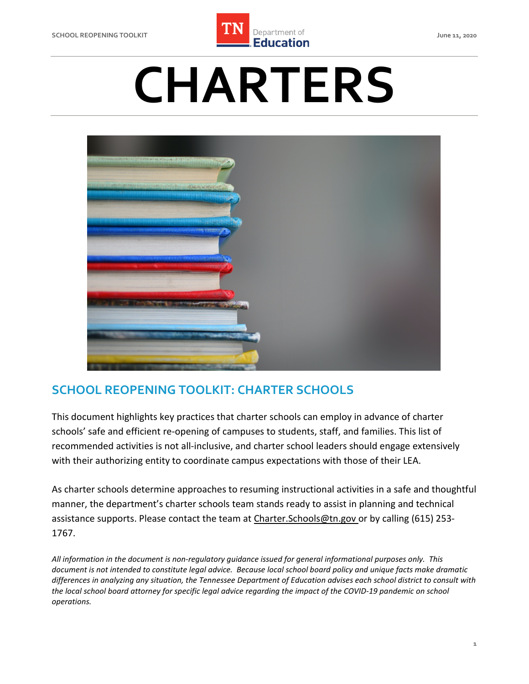

# **CHARTERS**



## **SCHOOL REOPENING TOOLKIT: CHARTER SCHOOLS**

 This document highlights key practices that charter schools can employ in advance of charter schools' safe and efficient re-opening of campuses to students, staff, and families. This list of recommended activities is not all-inclusive, and charter school leaders should engage extensively with their authorizing entity to coordinate campus expectations with those of their LEA.

 As charter schools determine approaches to resuming instructional activities in a safe and thoughtful manner, the department's charter schools team stands ready to assist in planning and technical assistance supports. Please contact the team at [Charter.Schools@tn.gov](mailto:Charter.Schools@tn.gov) or by calling (615) 253-1767.

 *All information in the document is non-regulatory guidance issued for general informational purposes only. This document is not intended to constitute legal advice. Because local school board policy and unique facts make dramatic differences in analyzing any situation, the Tennessee Department of Education advises each school district to consult with the local school board attorney for specific legal advice regarding the impact of the COVID-19 pandemic on school operations.*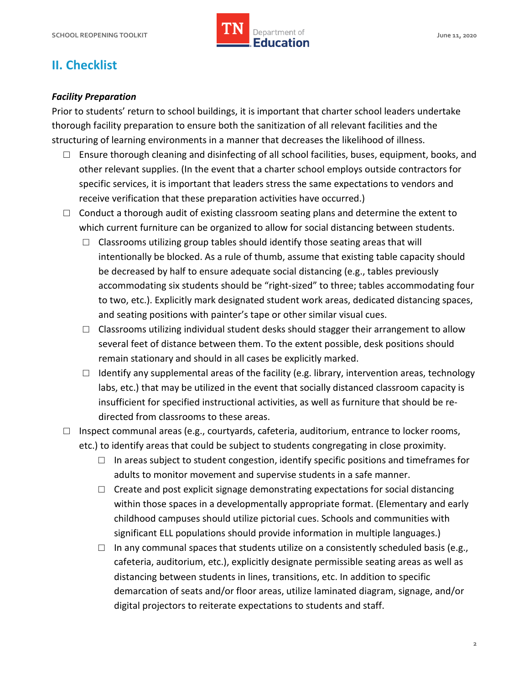

# **II. Checklist**

#### *Facility Preparation*

 Prior to students' return to school buildings, it is important that charter school leaders undertake thorough facility preparation to ensure both the sanitization of all relevant facilities and the structuring of learning environments in a manner that decreases the likelihood of illness.

- receive verification that these preparation activities have occurred.)  $\Box$  Ensure thorough cleaning and disinfecting of all school facilities, buses, equipment, books, and other relevant supplies. (In the event that a charter school employs outside contractors for specific services, it is important that leaders stress the same expectations to vendors and
- $\Box$  Conduct a thorough audit of existing classroom seating plans and determine the extent to which current furniture can be organized to allow for social distancing between students.
	- intentionally be blocked. As a rule of thumb, assume that existing table capacity should be decreased by half to ensure adequate social distancing (e.g., tables previously accommodating six students should be "right-sized" to three; tables accommodating four  $\Box$  Classrooms utilizing group tables should identify those seating areas that will to two, etc.). Explicitly mark designated student work areas, dedicated distancing spaces, and seating positions with painter's tape or other similar visual cues.
	- remain stationary and should in all cases be explicitly marked.  $\Box$  Classrooms utilizing individual student desks should stagger their arrangement to allow several feet of distance between them. To the extent possible, desk positions should
	- $\Box$  Identify any supplemental areas of the facility (e.g. library, intervention areas, technology labs, etc.) that may be utilized in the event that socially distanced classroom capacity is insufficient for specified instructional activities, as well as furniture that should be redirected from classrooms to these areas.
- etc.) to identify areas that could be subject to students congregating in close proximity.  $\Box$  Inspect communal areas (e.g., courtyards, cafeteria, auditorium, entrance to locker rooms,
	- $\Box$  In areas subject to student congestion, identify specific positions and timeframes for adults to monitor movement and supervise students in a safe manner.
	- $\square$  Create and post explicit signage demonstrating expectations for social distancing within those spaces in a developmentally appropriate format. (Elementary and early childhood campuses should utilize pictorial cues. Schools and communities with significant ELL populations should provide information in multiple languages.)
	- cafeteria, auditorium, etc.), explicitly designate permissible seating areas as well as distancing between students in lines, transitions, etc. In addition to specific  $\square$  In any communal spaces that students utilize on a consistently scheduled basis (e.g., demarcation of seats and/or floor areas, utilize laminated diagram, signage, and/or digital projectors to reiterate expectations to students and staff.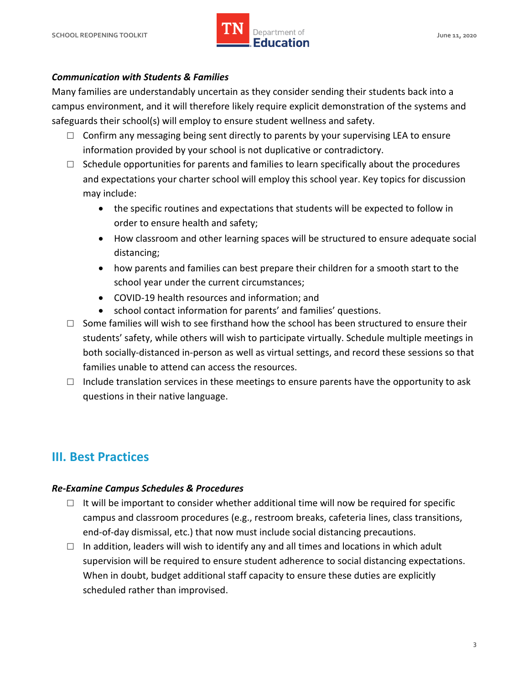

#### *Communication with Students & Families*

 Many families are understandably uncertain as they consider sending their students back into a campus environment, and it will therefore likely require explicit demonstration of the systems and safeguards their school(s) will employ to ensure student wellness and safety.

- information provided by your school is not duplicative or contradictory.  $\Box$  Confirm any messaging being sent directly to parents by your supervising LEA to ensure
- and expectations your charter school will employ this school year. Key topics for discussion  $\Box$  Schedule opportunities for parents and families to learn specifically about the procedures may include:
	- the specific routines and expectations that students will be expected to follow in order to ensure health and safety;
	- How classroom and other learning spaces will be structured to ensure adequate social distancing;
	- • how parents and families can best prepare their children for a smooth start to the school year under the current circumstances;
	- COVID-19 health resources and information; and
	- school contact information for parents' and families' questions.
- $\square$  Some families will wish to see firsthand how the school has been structured to ensure their both socially-distanced in-person as well as virtual settings, and record these sessions so that students' safety, while others will wish to participate virtually. Schedule multiple meetings in families unable to attend can access the resources.
- $\Box$  Include translation services in these meetings to ensure parents have the opportunity to ask questions in their native language.

## **III. Best Practices**

#### *Re-Examine Campus Schedules & Procedures*

- $\square$  It will be important to consider whether additional time will now be required for specific campus and classroom procedures (e.g., restroom breaks, cafeteria lines, class transitions, end-of-day dismissal, etc.) that now must include social distancing precautions.
- $\Box$  In addition, leaders will wish to identify any and all times and locations in which adult supervision will be required to ensure student adherence to social distancing expectations. supervision will be required to ensure student adherence to social distancing expectations.<br>When in doubt, budget additional staff capacity to ensure these duties are explicitly scheduled rather than improvised.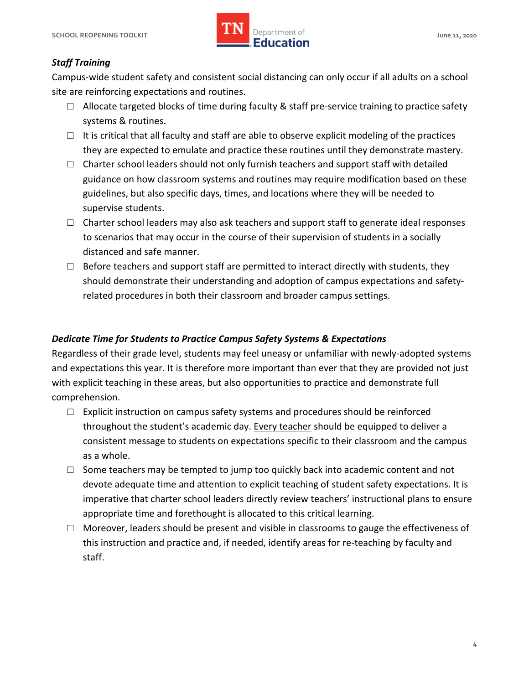

## *Staff Training*

 Campus-wide student safety and consistent social distancing can only occur if all adults on a school site are reinforcing expectations and routines.

- $\square$  Allocate targeted blocks of time during faculty & staff pre-service training to practice safety systems & routines.
- $\square$  It is critical that all faculty and staff are able to observe explicit modeling of the practices they are expected to emulate and practice these routines until they demonstrate mastery.
- guidelines, but also specific days, times, and locations where they will be needed to supervise students.  $\Box$  Charter school leaders should not only furnish teachers and support staff with detailed guidance on how classroom systems and routines may require modification based on these
- $\Box$  Charter school leaders may also ask teachers and support staff to generate ideal responses to scenarios that may occur in the course of their supervision of students in a socially distanced and safe manner.
- $\Box$  Before teachers and support staff are permitted to interact directly with students, they related procedures in both their classroom and broader campus settings. should demonstrate their understanding and adoption of campus expectations and safety-

### *Dedicate Time for Students to Practice Campus Safety Systems & Expectations*

 Regardless of their grade level, students may feel uneasy or unfamiliar with newly-adopted systems and expectations this year. It is therefore more important than ever that they are provided not just with explicit teaching in these areas, but also opportunities to practice and demonstrate full comprehension.

- throughout the student's academic day. Every teacher should be equipped to deliver a consistent message to students on expectations specific to their classroom and the campus  $\Box$  Explicit instruction on campus safety systems and procedures should be reinforced as a whole.
- appropriate time and forethought is allocated to this critical learning.  $\Box$  Some teachers may be tempted to jump too quickly back into academic content and not devote adequate time and attention to explicit teaching of student safety expectations. It is imperative that charter school leaders directly review teachers' instructional plans to ensure
- □ Moreover, leaders should be present and visible in classrooms to gauge the effectiveness of this instruction and practice and, if needed, identify areas for re-teaching by faculty and staff.